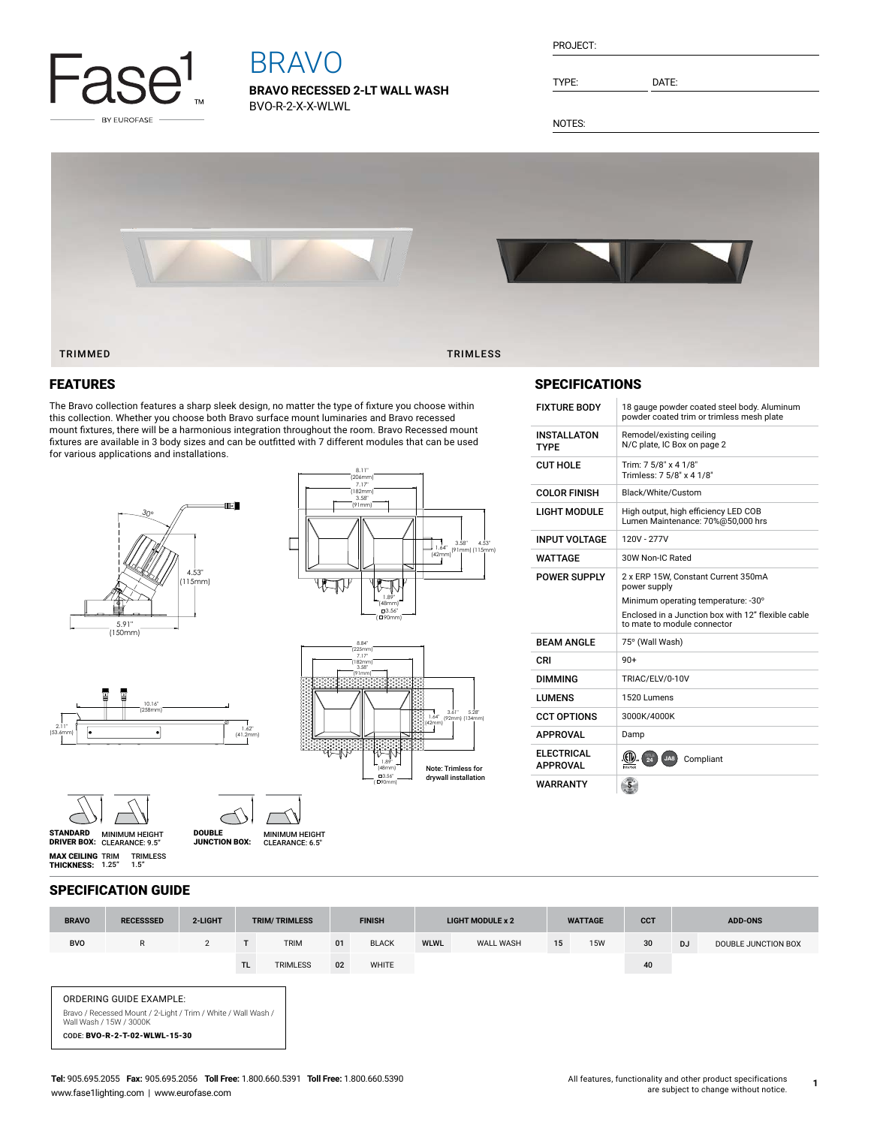

# BRAVO

**BRAVO RECESSED 2-LT WALL WASH** BVO-R-2-X-X-WLWL

| PROJECT: |  |
|----------|--|
|          |  |

TYPE: DATE:

NOTES:



## FEATURES

The Bravo collection features a sharp sleek design, no matter the type of fixture you choose within this collection. Whether you choose both Bravo surface mount luminaries and Bravo recessed mount fixtures, there will be a harmonious integration throughout the room. Bravo Recessed mount fixtures are available in 3 body sizes and can be outfitted with 7 different modules that can be used for various applications and installations.









MINIMUM HEIGHT CLEARANCE: 9.5" STANDARD DRIVER BOX: MINIMUM HEIGHT DOUBLE JUNCTION BOX:

**MAX CEILING** TRIM<br>**THICKNESS:** 1.25" TRIMLESS 1.5"



7.17" (182mm) 8.11" (206mm)



## SPECIFICATIONS

| <b>FIXTURE BODY</b>           | 18 gauge powder coated steel body. Aluminum<br>powder coated trim or trimless mesh plate                                 |
|-------------------------------|--------------------------------------------------------------------------------------------------------------------------|
| INSTALLATON<br>TYPF           | Remodel/existing ceiling<br>N/C plate, IC Box on page 2                                                                  |
| CUT HOLE                      | Trim: 7 5/8" x 4 1/8"<br>Trimless: 7 5/8" x 4 1/8"                                                                       |
| COLOR FINISH                  | Black/White/Custom                                                                                                       |
| LIGHT MODULE                  | High output, high efficiency LED COB<br>Lumen Maintenance: 70%@50,000 hrs                                                |
| INPUT VOLTAGE                 | 120V - 277V                                                                                                              |
| WATTAGE                       | 30W Non-IC Rated                                                                                                         |
| POWER SUPPLY                  | 2 x ERP 15W, Constant Current 350mA<br>power supply                                                                      |
|                               | Minimum operating temperature: -30°<br>Enclosed in a Junction box with 12" flexible cable<br>to mate to module connector |
| RFAM ANGI F                   | 75° (Wall Wash)                                                                                                          |
| CRI                           | $90+$                                                                                                                    |
| DIMMING                       | TRIAC/ELV/0-10V                                                                                                          |
| <b>I UMFNS</b>                | 1520 Lumens                                                                                                              |
| <b>CCT OPTIONS</b>            | 3000K/4000K                                                                                                              |
| <b>APPROVAL</b>               | Damp                                                                                                                     |
| ELECTRICAL<br><b>APPROVAL</b> | 圆<br>JA8<br>Compliant                                                                                                    |
| WARRANTY                      |                                                                                                                          |

## SPECIFICATION GUIDE

| <b>BRAVO</b> | <b>RECESSSED</b>                                                                                                                                     | 2-LIGHT        |           | <b>TRIM/TRIMLESS</b> |    | <b>FINISH</b> |             | <b>LIGHT MODULE x 2</b> |    | <b>WATTAGE</b> | <b>CCT</b> | <b>ADD-ONS</b> |                     |
|--------------|------------------------------------------------------------------------------------------------------------------------------------------------------|----------------|-----------|----------------------|----|---------------|-------------|-------------------------|----|----------------|------------|----------------|---------------------|
| <b>BVO</b>   | R                                                                                                                                                    | $\overline{2}$ |           | <b>TRIM</b>          | 01 | <b>BLACK</b>  | <b>WLWL</b> | <b>WALL WASH</b>        | 15 | <b>15W</b>     | 30         | <b>DJ</b>      | DOUBLE JUNCTION BOX |
|              |                                                                                                                                                      |                | <b>TL</b> | <b>TRIMLESS</b>      | 02 | WHITE         |             |                         |    |                | 40         |                |                     |
|              | ORDERING GUIDE EXAMPLE:<br>Bravo / Recessed Mount / 2-Light / Trim / White / Wall Wash /<br>Wall Wash / 15W / 3000K<br>CODE: BVO-R-2-T-02-WLWL-15-30 |                |           |                      |    |               |             |                         |    |                |            |                |                     |

**1**